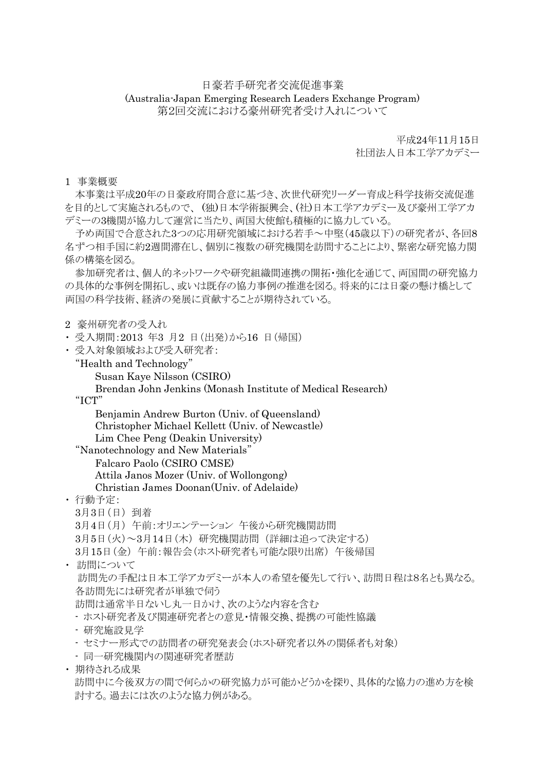## 日豪若手研究者交流促進事業 (Australia-Japan Emerging Research Leaders Exchange Program) 第2回交流における豪州研究者受け入れについて

平成24年11月15日

社団法人日本工学アカデミー

## 1 事業概要

本事業は平成20年の日豪政府間合意に基づき、次世代研究リーダー育成と科学技術交流促進 を目的として実施されるもので、 (独)日本学術振興会、(社)日本工学アカデミー及び豪州工学アカ デミーの3機関が協力して運営に当たり、両国大使館も積極的に協力している。

予め両国で合意された3つの応用研究領域における若手~中堅(45歳以下)の研究者が、各回8 名ずつ相手国に約2週間滞在し、個別に複数の研究機関を訪問することにより、緊密な研究協力関 係の構築を図る。

参加研究者は、個人的ネットワークや研究組織間連携の開拓・強化を通じて、両国間の研究協力 の具体的な事例を開拓し、或いは既存の協力事例の推進を図る。将来的には日豪の懸け橋として 両国の科学技術、経済の発展に貢献することが期待されている。

- 2 豪州研究者の受入れ
- ・ 受入期間:2013 年3 月2 日(出発)から16 日(帰国)
- ・ 受入対象領域および受入研究者:
	- "Health and Technology"

Susan Kaye Nilsson (CSIRO)

Brendan John Jenkins (Monash Institute of Medical Research) "ICT"

Benjamin Andrew Burton (Univ. of Queensland) Christopher Michael Kellett (Univ. of Newcastle) Lim Chee Peng (Deakin University)

"Nanotechnology and New Materials"

Falcaro Paolo (CSIRO CMSE)

Attila Janos Mozer (Univ. of Wollongong)

Christian James Doonan(Univ. of Adelaide)

- ・ 行動予定:
	- 3月3日(日) 到着

3月4日(月) 午前:オリエンテーション 午後から研究機関訪問

3月5日(火)~3月14日(木) 研究機関訪問 (詳細は追って決定する)

3月15日(金) 午前:報告会(ホスト研究者も可能な限り出席) 午後帰国

・ 訪問について

訪問先の手配は日本工学アカデミーが本人の希望を優先して行い、訪問日程は8名とも異なる。 各訪問先には研究者が単独で伺う

訪問は通常半日ないし丸一日かけ、次のような内容を含む

- ホスト研究者及び関連研究者との意見・情報交換、提携の可能性協議
- 研究施設見学
- セミナー形式での訪問者の研究発表会(ホスト研究者以外の関係者も対象)
- 同一研究機関内の関連研究者歴訪
- ・ 期待される成果

訪問中に今後双方の間で何らかの研究協力が可能かどうかを探り、具体的な協力の進め方を検 討する。過去には次のような協力例がある。